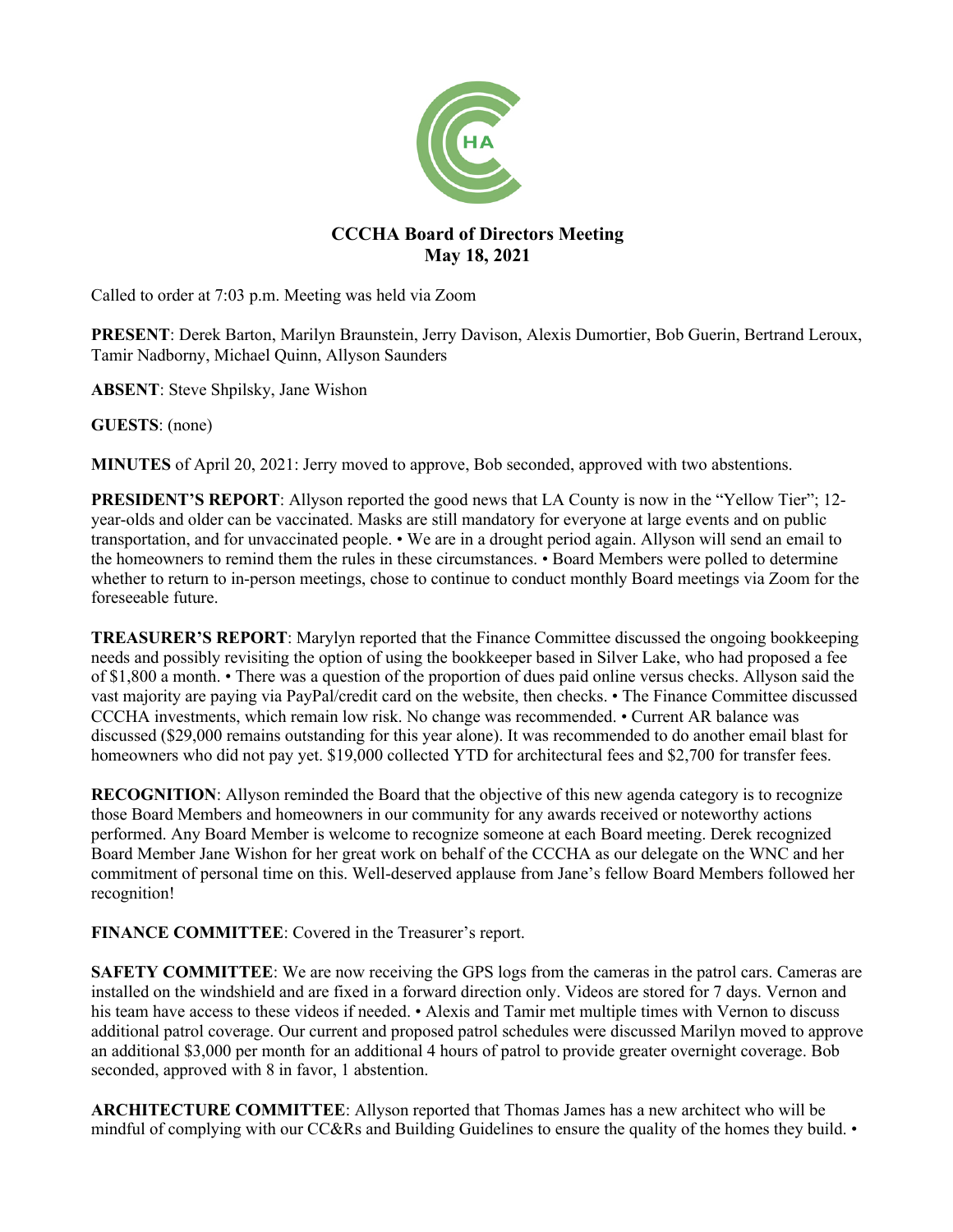

# **CCCHA Board of Directors Meeting May 18, 2021**

Called to order at 7:03 p.m. Meeting was held via Zoom

**PRESENT**: Derek Barton, Marilyn Braunstein, Jerry Davison, Alexis Dumortier, Bob Guerin, Bertrand Leroux, Tamir Nadborny, Michael Quinn, Allyson Saunders

**ABSENT**: Steve Shpilsky, Jane Wishon

**GUESTS**: (none)

**MINUTES** of April 20, 2021: Jerry moved to approve, Bob seconded, approved with two abstentions.

**PRESIDENT'S REPORT:** Allyson reported the good news that LA County is now in the "Yellow Tier"; 12year-olds and older can be vaccinated. Masks are still mandatory for everyone at large events and on public transportation, and for unvaccinated people. • We are in a drought period again. Allyson will send an email to the homeowners to remind them the rules in these circumstances. • Board Members were polled to determine whether to return to in-person meetings, chose to continue to conduct monthly Board meetings via Zoom for the foreseeable future.

**TREASURER'S REPORT**: Marylyn reported that the Finance Committee discussed the ongoing bookkeeping needs and possibly revisiting the option of using the bookkeeper based in Silver Lake, who had proposed a fee of \$1,800 a month. • There was a question of the proportion of dues paid online versus checks. Allyson said the vast majority are paying via PayPal/credit card on the website, then checks. • The Finance Committee discussed CCCHA investments, which remain low risk. No change was recommended. • Current AR balance was discussed (\$29,000 remains outstanding for this year alone). It was recommended to do another email blast for homeowners who did not pay yet. \$19,000 collected YTD for architectural fees and \$2,700 for transfer fees.

**RECOGNITION:** Allyson reminded the Board that the objective of this new agenda category is to recognize those Board Members and homeowners in our community for any awards received or noteworthy actions performed. Any Board Member is welcome to recognize someone at each Board meeting. Derek recognized Board Member Jane Wishon for her great work on behalf of the CCCHA as our delegate on the WNC and her commitment of personal time on this. Well-deserved applause from Jane's fellow Board Members followed her recognition!

**FINANCE COMMITTEE**: Covered in the Treasurer's report.

**SAFETY COMMITTEE:** We are now receiving the GPS logs from the cameras in the patrol cars. Cameras are installed on the windshield and are fixed in a forward direction only. Videos are stored for 7 days. Vernon and his team have access to these videos if needed. • Alexis and Tamir met multiple times with Vernon to discuss additional patrol coverage. Our current and proposed patrol schedules were discussed Marilyn moved to approve an additional \$3,000 per month for an additional 4 hours of patrol to provide greater overnight coverage. Bob seconded, approved with 8 in favor, 1 abstention.

**ARCHITECTURE COMMITTEE**: Allyson reported that Thomas James has a new architect who will be mindful of complying with our CC&Rs and Building Guidelines to ensure the quality of the homes they build. •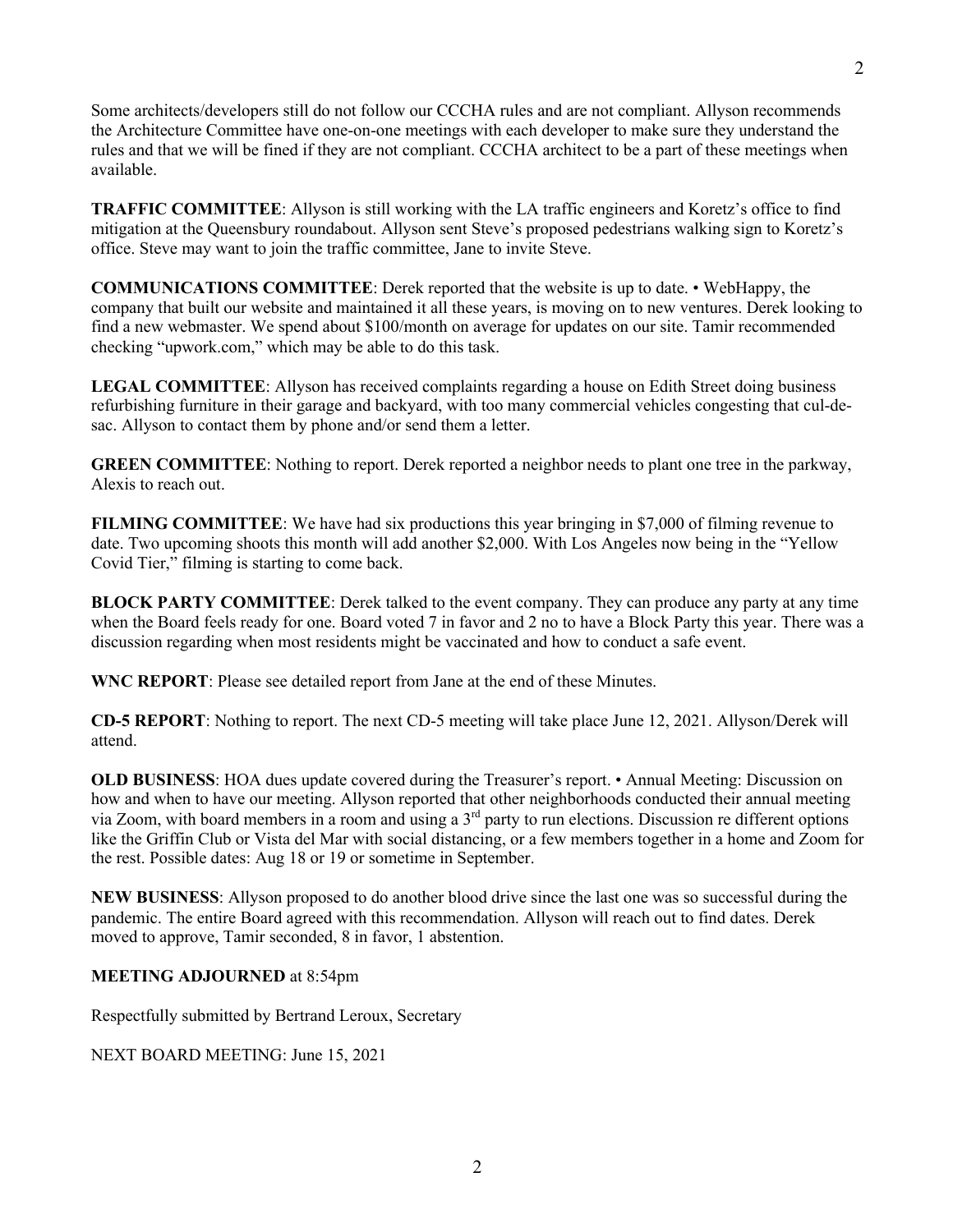2

Some architects/developers still do not follow our CCCHA rules and are not compliant. Allyson recommends the Architecture Committee have one-on-one meetings with each developer to make sure they understand the rules and that we will be fined if they are not compliant. CCCHA architect to be a part of these meetings when available.

**TRAFFIC COMMITTEE**: Allyson is still working with the LA traffic engineers and Koretz's office to find mitigation at the Queensbury roundabout. Allyson sent Steve's proposed pedestrians walking sign to Koretz's office. Steve may want to join the traffic committee, Jane to invite Steve.

**COMMUNICATIONS COMMITTEE**: Derek reported that the website is up to date. • WebHappy, the company that built our website and maintained it all these years, is moving on to new ventures. Derek looking to find a new webmaster. We spend about \$100/month on average for updates on our site. Tamir recommended checking "upwork.com," which may be able to do this task.

**LEGAL COMMITTEE**: Allyson has received complaints regarding a house on Edith Street doing business refurbishing furniture in their garage and backyard, with too many commercial vehicles congesting that cul-desac. Allyson to contact them by phone and/or send them a letter.

**GREEN COMMITTEE**: Nothing to report. Derek reported a neighbor needs to plant one tree in the parkway, Alexis to reach out.

**FILMING COMMITTEE**: We have had six productions this year bringing in \$7,000 of filming revenue to date. Two upcoming shoots this month will add another \$2,000. With Los Angeles now being in the "Yellow Covid Tier," filming is starting to come back.

**BLOCK PARTY COMMITTEE**: Derek talked to the event company. They can produce any party at any time when the Board feels ready for one. Board voted 7 in favor and 2 no to have a Block Party this year. There was a discussion regarding when most residents might be vaccinated and how to conduct a safe event.

**WNC REPORT**: Please see detailed report from Jane at the end of these Minutes.

**CD-5 REPORT**: Nothing to report. The next CD-5 meeting will take place June 12, 2021. Allyson/Derek will attend.

**OLD BUSINESS**: HOA dues update covered during the Treasurer's report. • Annual Meeting: Discussion on how and when to have our meeting. Allyson reported that other neighborhoods conducted their annual meeting via Zoom, with board members in a room and using a  $3<sup>rd</sup>$  party to run elections. Discussion re different options like the Griffin Club or Vista del Mar with social distancing, or a few members together in a home and Zoom for the rest. Possible dates: Aug 18 or 19 or sometime in September.

**NEW BUSINESS**: Allyson proposed to do another blood drive since the last one was so successful during the pandemic. The entire Board agreed with this recommendation. Allyson will reach out to find dates. Derek moved to approve, Tamir seconded, 8 in favor, 1 abstention.

# **MEETING ADJOURNED** at 8:54pm

Respectfully submitted by Bertrand Leroux, Secretary

NEXT BOARD MEETING: June 15, 2021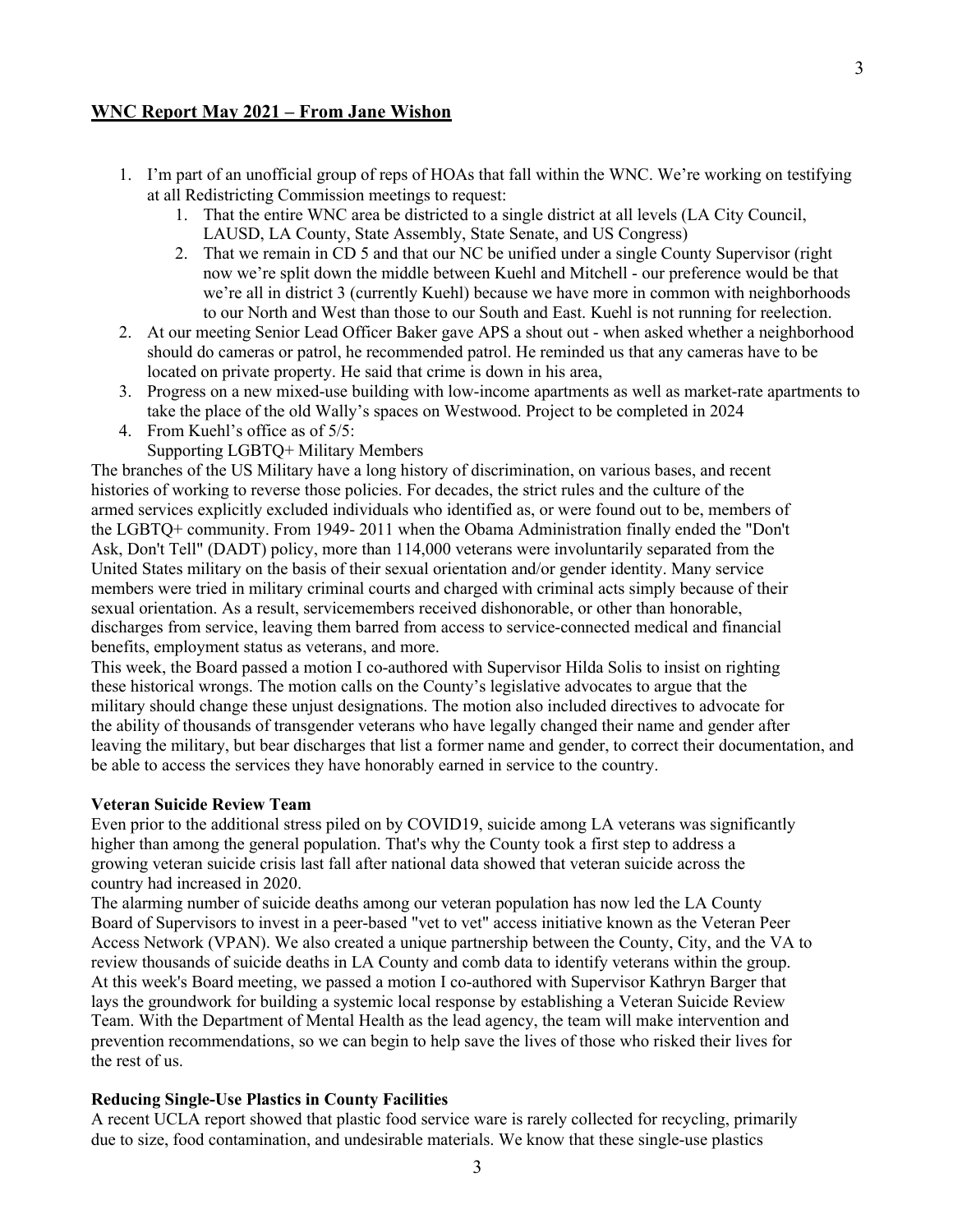### **WNC Report May 2021 – From Jane Wishon**

- 1. I'm part of an unofficial group of reps of HOAs that fall within the WNC. We're working on testifying at all Redistricting Commission meetings to request:
	- 1. That the entire WNC area be districted to a single district at all levels (LA City Council, LAUSD, LA County, State Assembly, State Senate, and US Congress)
	- 2. That we remain in CD 5 and that our NC be unified under a single County Supervisor (right now we're split down the middle between Kuehl and Mitchell - our preference would be that we're all in district 3 (currently Kuehl) because we have more in common with neighborhoods to our North and West than those to our South and East. Kuehl is not running for reelection.
- 2. At our meeting Senior Lead Officer Baker gave APS a shout out when asked whether a neighborhood should do cameras or patrol, he recommended patrol. He reminded us that any cameras have to be located on private property. He said that crime is down in his area,
- 3. Progress on a new mixed-use building with low-income apartments as well as market-rate apartments to take the place of the old Wally's spaces on Westwood. Project to be completed in 2024
- 4. From Kuehl's office as of 5/5:
	- Supporting LGBTQ+ Military Members

The branches of the US Military have a long history of discrimination, on various bases, and recent histories of working to reverse those policies. For decades, the strict rules and the culture of the armed services explicitly excluded individuals who identified as, or were found out to be, members of the LGBTQ+ community. From 1949- 2011 when the Obama Administration finally ended the "Don't Ask, Don't Tell" (DADT) policy, more than 114,000 veterans were involuntarily separated from the United States military on the basis of their sexual orientation and/or gender identity. Many service members were tried in military criminal courts and charged with criminal acts simply because of their sexual orientation. As a result, servicemembers received dishonorable, or other than honorable, discharges from service, leaving them barred from access to service-connected medical and financial benefits, employment status as veterans, and more.

This week, the Board passed a motion I co-authored with Supervisor Hilda Solis to insist on righting these historical wrongs. The motion calls on the County's legislative advocates to argue that the military should change these unjust designations. The motion also included directives to advocate for the ability of thousands of transgender veterans who have legally changed their name and gender after leaving the military, but bear discharges that list a former name and gender, to correct their documentation, and be able to access the services they have honorably earned in service to the country.

#### **Veteran Suicide Review Team**

Even prior to the additional stress piled on by COVID19, suicide among LA veterans was significantly higher than among the general population. That's why the County took a first step to address a growing veteran suicide crisis last fall after national data showed that veteran suicide across the country had increased in 2020.

The alarming number of suicide deaths among our veteran population has now led the LA County Board of Supervisors to invest in a peer-based "vet to vet" access initiative known as the Veteran Peer Access Network (VPAN). We also created a unique partnership between the County, City, and the VA to review thousands of suicide deaths in LA County and comb data to identify veterans within the group. At this week's Board meeting, we passed a motion I co-authored with Supervisor Kathryn Barger that lays the groundwork for building a systemic local response by establishing a Veteran Suicide Review Team. With the Department of Mental Health as the lead agency, the team will make intervention and prevention recommendations, so we can begin to help save the lives of those who risked their lives for the rest of us.

#### **Reducing Single-Use Plastics in County Facilities**

A recent UCLA report showed that plastic food service ware is rarely collected for recycling, primarily due to size, food contamination, and undesirable materials. We know that these single-use plastics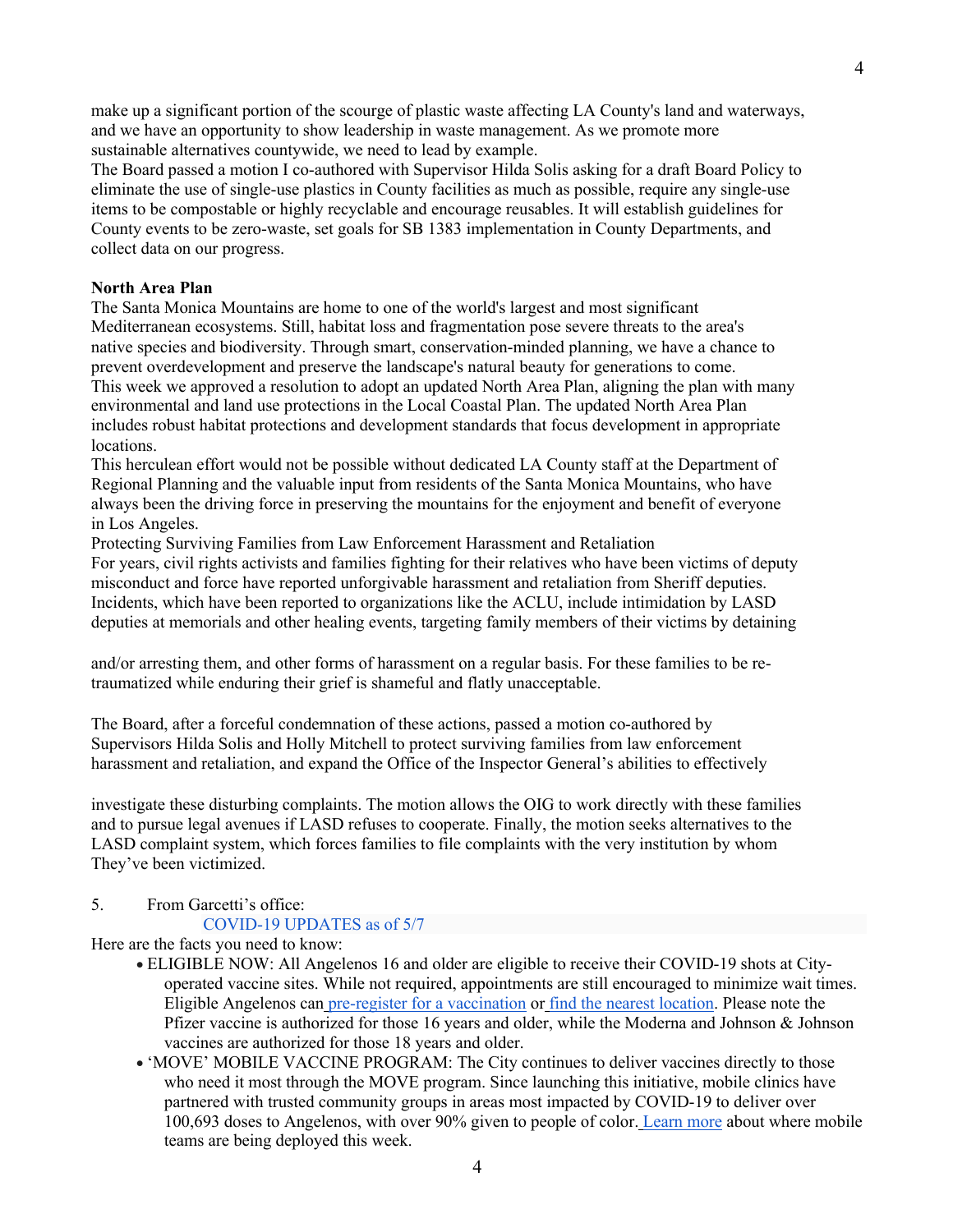make up a significant portion of the scourge of plastic waste affecting LA County's land and waterways, and we have an opportunity to show leadership in waste management. As we promote more sustainable alternatives countywide, we need to lead by example.

The Board passed a motion I co-authored with Supervisor Hilda Solis asking for a draft Board Policy to eliminate the use of single-use plastics in County facilities as much as possible, require any single-use items to be compostable or highly recyclable and encourage reusables. It will establish guidelines for County events to be zero-waste, set goals for SB 1383 implementation in County Departments, and collect data on our progress.

#### **North Area Plan**

The Santa Monica Mountains are home to one of the world's largest and most significant Mediterranean ecosystems. Still, habitat loss and fragmentation pose severe threats to the area's native species and biodiversity. Through smart, conservation-minded planning, we have a chance to prevent overdevelopment and preserve the landscape's natural beauty for generations to come. This week we approved a resolution to adopt an updated North Area Plan, aligning the plan with many environmental and land use protections in the Local Coastal Plan. The updated North Area Plan includes robust habitat protections and development standards that focus development in appropriate locations.

This herculean effort would not be possible without dedicated LA County staff at the Department of Regional Planning and the valuable input from residents of the Santa Monica Mountains, who have always been the driving force in preserving the mountains for the enjoyment and benefit of everyone in Los Angeles.

Protecting Surviving Families from Law Enforcement Harassment and Retaliation

For years, civil rights activists and families fighting for their relatives who have been victims of deputy misconduct and force have reported unforgivable harassment and retaliation from Sheriff deputies. Incidents, which have been reported to organizations like the ACLU, include intimidation by LASD deputies at memorials and other healing events, targeting family members of their victims by detaining

and/or arresting them, and other forms of harassment on a regular basis. For these families to be retraumatized while enduring their grief is shameful and flatly unacceptable.

The Board, after a forceful condemnation of these actions, passed a motion co-authored by Supervisors Hilda Solis and Holly Mitchell to protect surviving families from law enforcement harassment and retaliation, and expand the Office of the Inspector General's abilities to effectively

investigate these disturbing complaints. The motion allows the OIG to work directly with these families and to pursue legal avenues if LASD refuses to cooperate. Finally, the motion seeks alternatives to the LASD complaint system, which forces families to file complaints with the very institution by whom They've been victimized.

#### 5. From Garcetti's office:

## COVID-19 UPDATES as of 5/7

Here are the facts you need to know:

- ELIGIBLE NOW: All Angelenos 16 and older are eligible to receive their COVID-19 shots at Cityoperated vaccine sites. While not required, appointments are still encouraged to minimize wait times. Eligible Angelenos can pre-register for a vaccination or find the nearest location. Please note the Pfizer vaccine is authorized for those 16 years and older, while the Moderna and Johnson & Johnson vaccines are authorized for those 18 years and older.
- 'MOVE' MOBILE VACCINE PROGRAM: The City continues to deliver vaccines directly to those who need it most through the MOVE program. Since launching this initiative, mobile clinics have partnered with trusted community groups in areas most impacted by COVID-19 to deliver over 100,693 doses to Angelenos, with over 90% given to people of color. Learn more about where mobile teams are being deployed this week.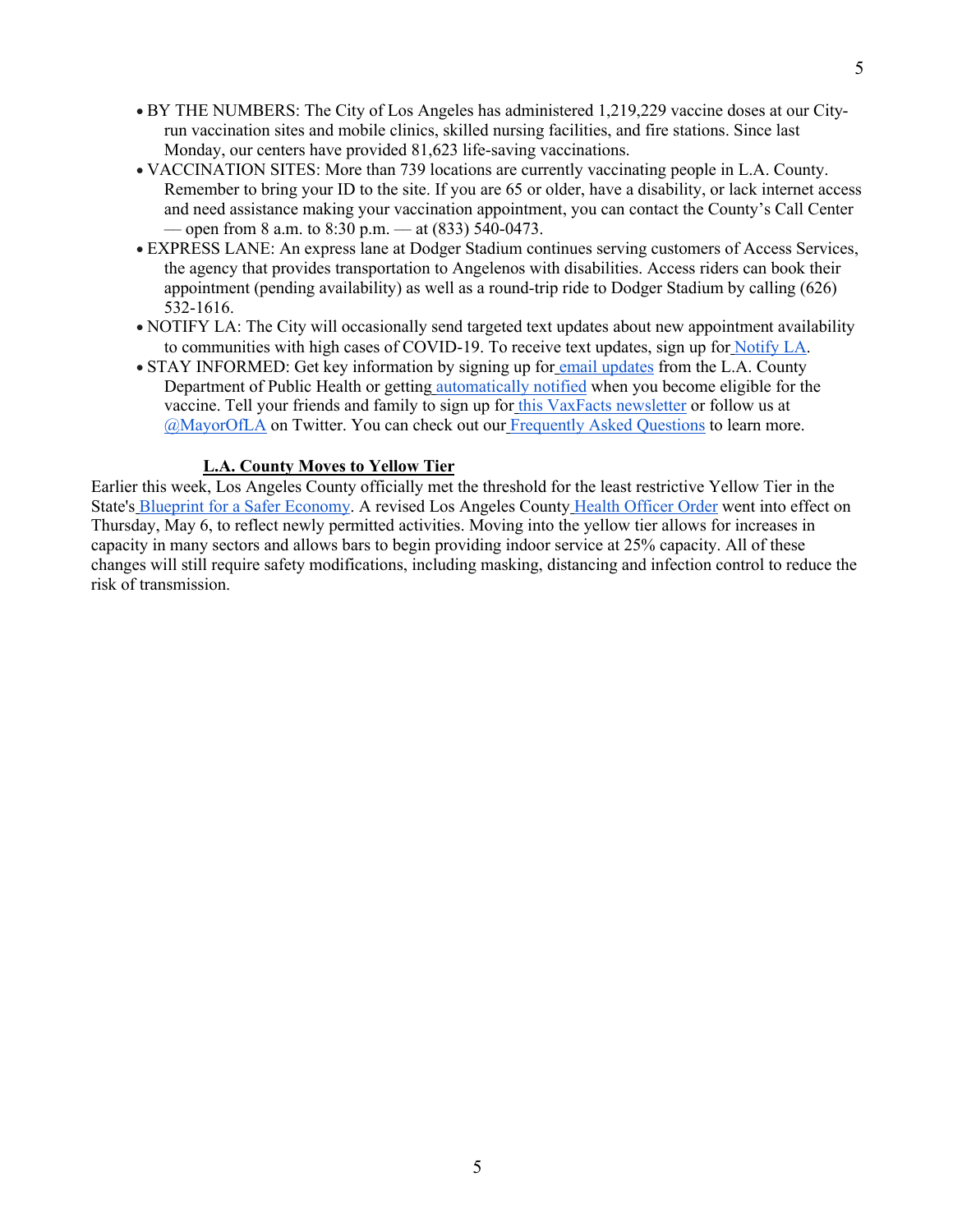- BY THE NUMBERS: The City of Los Angeles has administered 1,219,229 vaccine doses at our Cityrun vaccination sites and mobile clinics, skilled nursing facilities, and fire stations. Since last Monday, our centers have provided 81,623 life-saving vaccinations.
- VACCINATION SITES: More than 739 locations are currently vaccinating people in L.A. County. Remember to bring your ID to the site. If you are 65 or older, have a disability, or lack internet access and need assistance making your vaccination appointment, you can contact the County's Call Center  $-$  open from 8 a.m. to 8:30 p.m.  $-$  at (833) 540-0473.
- EXPRESS LANE: An express lane at Dodger Stadium continues serving customers of Access Services, the agency that provides transportation to Angelenos with disabilities. Access riders can book their appointment (pending availability) as well as a round-trip ride to Dodger Stadium by calling (626) 532-1616.
- NOTIFY LA: The City will occasionally send targeted text updates about new appointment availability to communities with high cases of COVID-19. To receive text updates, sign up for Notify LA.
- STAY INFORMED: Get key information by signing up for email updates from the L.A. County Department of Public Health or getting automatically notified when you become eligible for the vaccine. Tell your friends and family to sign up for this VaxFacts newsletter or follow us at @MayorOfLA on Twitter. You can check out our Frequently Asked Questions to learn more.

## **L.A. County Moves to Yellow Tier**

Earlier this week, Los Angeles County officially met the threshold for the least restrictive Yellow Tier in the State's Blueprint for a Safer Economy. A revised Los Angeles County Health Officer Order went into effect on Thursday, May 6, to reflect newly permitted activities. Moving into the yellow tier allows for increases in capacity in many sectors and allows bars to begin providing indoor service at 25% capacity. All of these changes will still require safety modifications, including masking, distancing and infection control to reduce the risk of transmission.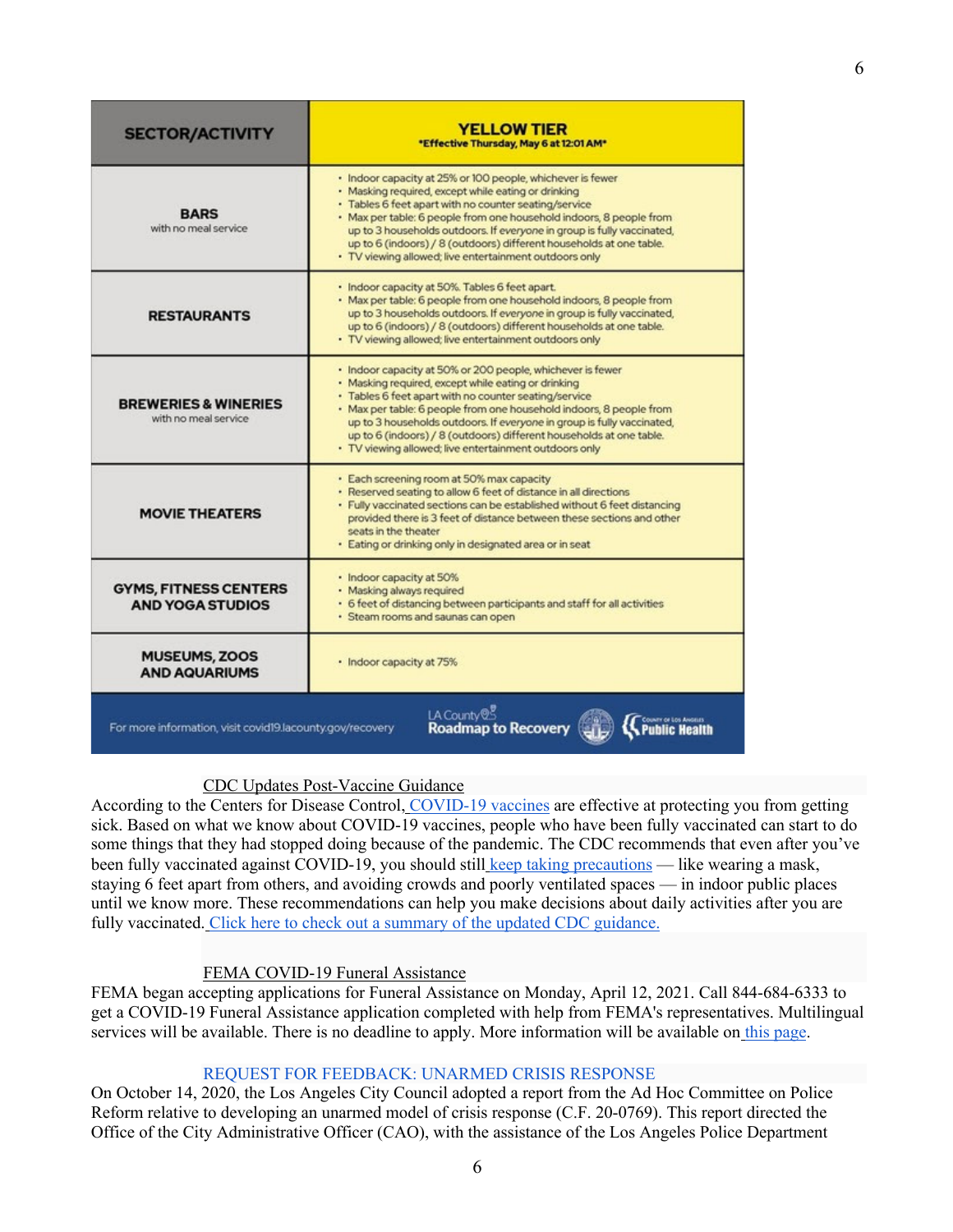| <b>SECTOR/ACTIVITY</b>                                                                                            | <b>YELLOW TIER</b><br>*Effective Thursday, May 6 at 12:01 AM*                                                                                                                                                                                                                                                                                                                                                                                                |
|-------------------------------------------------------------------------------------------------------------------|--------------------------------------------------------------------------------------------------------------------------------------------------------------------------------------------------------------------------------------------------------------------------------------------------------------------------------------------------------------------------------------------------------------------------------------------------------------|
| <b>RARS</b><br>with no meal service                                                                               | · Indoor capacity at 25% or 100 people, whichever is fewer<br>· Masking required, except while eating or drinking<br>· Tables 6 feet apart with no counter seating/service<br>· Max per table: 6 people from one household indoors, 8 people from<br>up to 3 households outdoors. If everyone in group is fully vaccinated,<br>up to 6 (indoors) / 8 (outdoors) different households at one table.<br>· TV viewing allowed; live entertainment outdoors only |
| <b>RESTAURANTS</b>                                                                                                | · Indoor capacity at 50%. Tables 6 feet apart.<br>· Max per table: 6 people from one household indoors, 8 people from<br>up to 3 households outdoors. If everyone in group is fully vaccinated,<br>up to 6 (indoors) / 8 (outdoors) different households at one table.<br>· TV viewing allowed; live entertainment outdoors only                                                                                                                             |
| <b>BREWERIES &amp; WINERIES</b><br>with no meal service                                                           | · Indoor capacity at 50% or 200 people, whichever is fewer<br>· Masking required, except while eating or drinking<br>· Tables 6 feet apart with no counter seating/service<br>· Max per table: 6 people from one household indoors, 8 people from<br>up to 3 households outdoors. If everyone in group is fully vaccinated,<br>up to 6 (indoors) / 8 (outdoors) different households at one table.<br>· TV viewing allowed; live entertainment outdoors only |
| <b>MOVIE THEATERS</b>                                                                                             | · Each screening room at 50% max capacity<br>· Reserved seating to allow 6 feet of distance in all directions<br>· Fully vaccinated sections can be established without 6 feet distancing<br>provided there is 3 feet of distance between these sections and other<br>seats in the theater<br>· Eating or drinking only in designated area or in seat                                                                                                        |
| <b>GYMS, FITNESS CENTERS</b><br><b>AND YOGA STUDIOS</b>                                                           | · Indoor capacity at 50%<br>· Masking always required<br>· 6 feet of distancing between participants and staff for all activities<br>· Steam rooms and saunas can open                                                                                                                                                                                                                                                                                       |
| <b>MUSEUMS, ZOOS</b><br><b>AND AQUARIUMS</b>                                                                      | · Indoor capacity at 75%                                                                                                                                                                                                                                                                                                                                                                                                                                     |
| LA County <sup>@</sup><br><b>Roadmap to Recovery</b><br>For more information, visit covid19.lacounty.gov/recovery |                                                                                                                                                                                                                                                                                                                                                                                                                                                              |

## CDC Updates Post-Vaccine Guidance

According to the Centers for Disease Control, COVID-19 vaccines are effective at protecting you from getting sick. Based on what we know about COVID-19 vaccines, people who have been fully vaccinated can start to do some things that they had stopped doing because of the pandemic. The CDC recommends that even after you've been fully vaccinated against COVID-19, you should still keep taking precautions — like wearing a mask, staying 6 feet apart from others, and avoiding crowds and poorly ventilated spaces — in indoor public places until we know more. These recommendations can help you make decisions about daily activities after you are fully vaccinated. Click here to check out a summary of the updated CDC guidance.

## FEMA COVID-19 Funeral Assistance

FEMA began accepting applications for Funeral Assistance on Monday, April 12, 2021. Call 844-684-6333 to get a COVID-19 Funeral Assistance application completed with help from FEMA's representatives. Multilingual services will be available. There is no deadline to apply. More information will be available on this page.

## REQUEST FOR FEEDBACK: UNARMED CRISIS RESPONSE

On October 14, 2020, the Los Angeles City Council adopted a report from the Ad Hoc Committee on Police Reform relative to developing an unarmed model of crisis response (C.F. 20-0769). This report directed the Office of the City Administrative Officer (CAO), with the assistance of the Los Angeles Police Department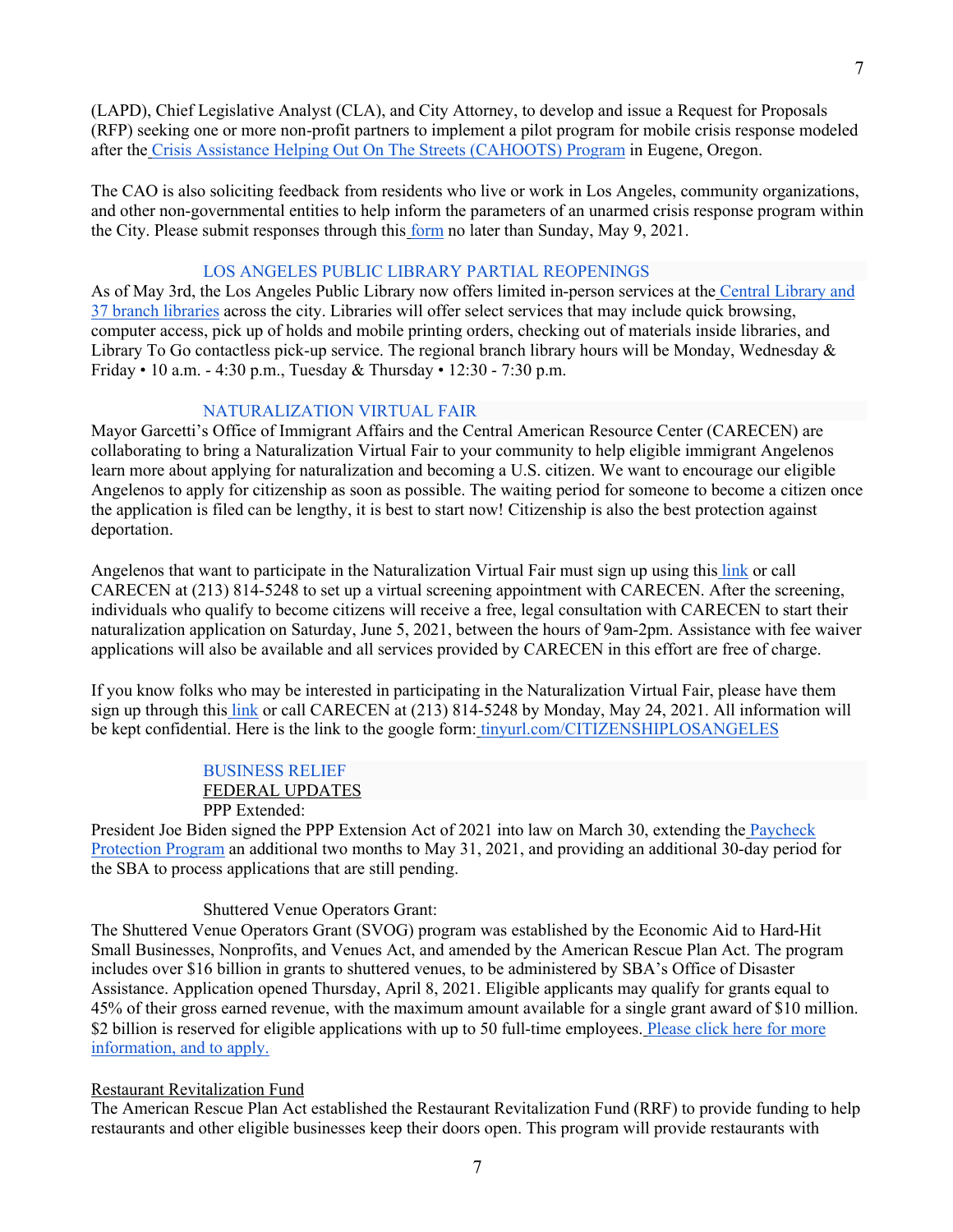(LAPD), Chief Legislative Analyst (CLA), and City Attorney, to develop and issue a Request for Proposals (RFP) seeking one or more non-profit partners to implement a pilot program for mobile crisis response modeled after the Crisis Assistance Helping Out On The Streets (CAHOOTS) Program in Eugene, Oregon.

The CAO is also soliciting feedback from residents who live or work in Los Angeles, community organizations, and other non-governmental entities to help inform the parameters of an unarmed crisis response program within the City. Please submit responses through this form no later than Sunday, May 9, 2021.

#### LOS ANGELES PUBLIC LIBRARY PARTIAL REOPENINGS

As of May 3rd, the Los Angeles Public Library now offers limited in-person services at the Central Library and 37 branch libraries across the city. Libraries will offer select services that may include quick browsing, computer access, pick up of holds and mobile printing orders, checking out of materials inside libraries, and Library To Go contactless pick-up service. The regional branch library hours will be Monday, Wednesday & Friday • 10 a.m. - 4:30 p.m., Tuesday & Thursday • 12:30 - 7:30 p.m.

### NATURALIZATION VIRTUAL FAIR

Mayor Garcetti's Office of Immigrant Affairs and the Central American Resource Center (CARECEN) are collaborating to bring a Naturalization Virtual Fair to your community to help eligible immigrant Angelenos learn more about applying for naturalization and becoming a U.S. citizen. We want to encourage our eligible Angelenos to apply for citizenship as soon as possible. The waiting period for someone to become a citizen once the application is filed can be lengthy, it is best to start now! Citizenship is also the best protection against deportation.

Angelenos that want to participate in the Naturalization Virtual Fair must sign up using this link or call CARECEN at (213) 814-5248 to set up a virtual screening appointment with CARECEN. After the screening, individuals who qualify to become citizens will receive a free, legal consultation with CARECEN to start their naturalization application on Saturday, June 5, 2021, between the hours of 9am-2pm. Assistance with fee waiver applications will also be available and all services provided by CARECEN in this effort are free of charge.

If you know folks who may be interested in participating in the Naturalization Virtual Fair, please have them sign up through this link or call CARECEN at (213) 814-5248 by Monday, May 24, 2021. All information will be kept confidential. Here is the link to the google form: tinyurl.com/CITIZENSHIPLOSANGELES

> BUSINESS RELIEF FEDERAL UPDATES PPP Extended:

President Joe Biden signed the PPP Extension Act of 2021 into law on March 30, extending the Paycheck Protection Program an additional two months to May 31, 2021, and providing an additional 30-day period for the SBA to process applications that are still pending.

#### Shuttered Venue Operators Grant:

The Shuttered Venue Operators Grant (SVOG) program was established by the Economic Aid to Hard-Hit Small Businesses, Nonprofits, and Venues Act, and amended by the American Rescue Plan Act. The program includes over \$16 billion in grants to shuttered venues, to be administered by SBA's Office of Disaster Assistance. Application opened Thursday, April 8, 2021. Eligible applicants may qualify for grants equal to 45% of their gross earned revenue, with the maximum amount available for a single grant award of \$10 million. \$2 billion is reserved for eligible applications with up to 50 full-time employees. Please click here for more information, and to apply.

#### Restaurant Revitalization Fund

The American Rescue Plan Act established the Restaurant Revitalization Fund (RRF) to provide funding to help restaurants and other eligible businesses keep their doors open. This program will provide restaurants with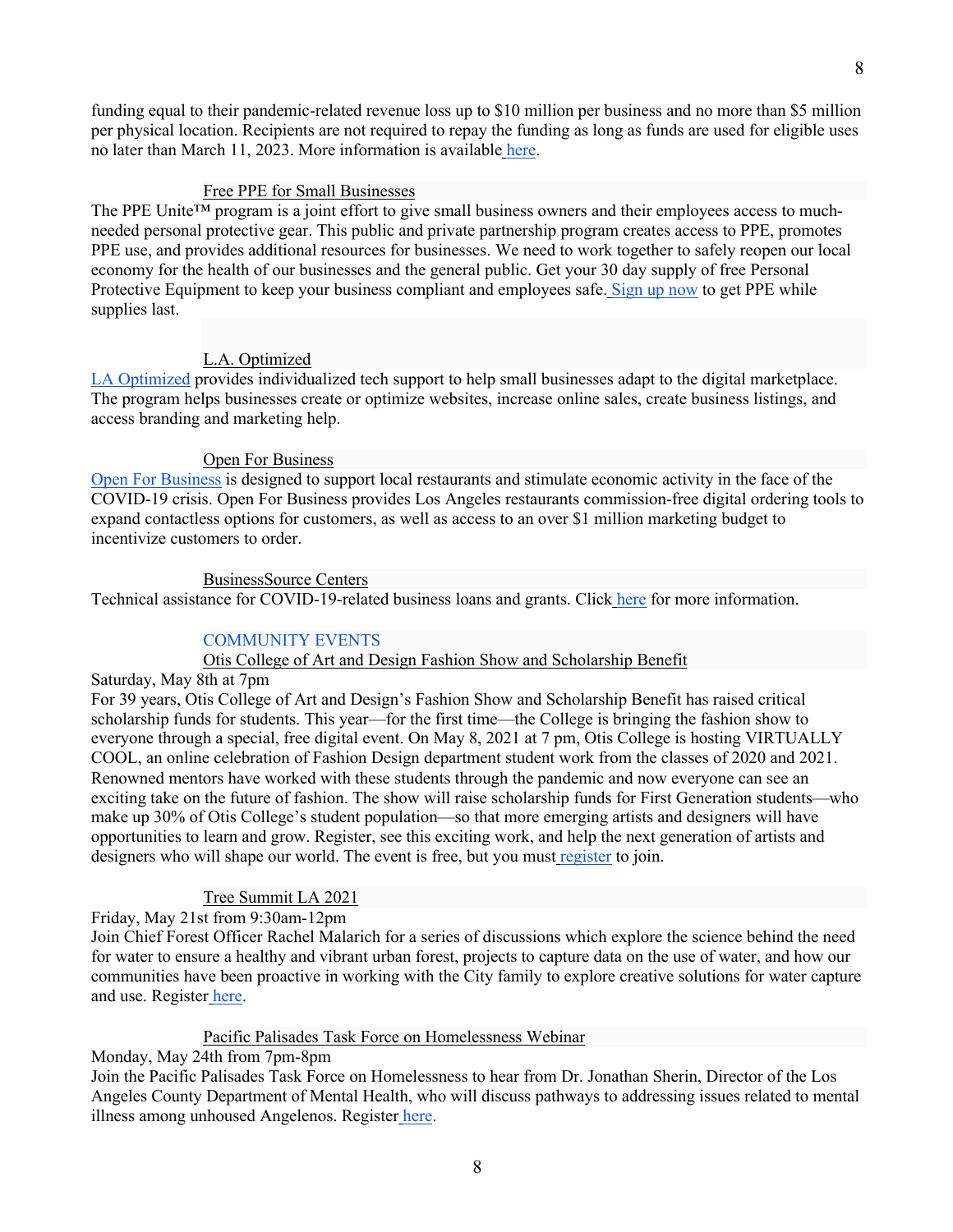8

funding equal to their pandemic-related revenue loss up to \$10 million per business and no more than \$5 million per physical location. Recipients are not required to repay the funding as long as funds are used for eligible uses no later than March 11, 2023. More information is available here.

## Free PPE for Small Businesses

The PPE Unite<sup>™</sup> program is a joint effort to give small business owners and their employees access to muchneeded personal protective gear. This public and private partnership program creates access to PPE, promotes PPE use, and provides additional resources for businesses. We need to work together to safely reopen our local economy for the health of our businesses and the general public. Get your 30 day supply of free Personal Protective Equipment to keep your business compliant and employees safe. Sign up now to get PPE while supplies last.

# L.A. Optimized

LA Optimized provides individualized tech support to help small businesses adapt to the digital marketplace. The program helps businesses create or optimize websites, increase online sales, create business listings, and access branding and marketing help.

# Open For Business

Open For Business is designed to support local restaurants and stimulate economic activity in the face of the COVID-19 crisis. Open For Business provides Los Angeles restaurants commission-free digital ordering tools to expand contactless options for customers, as well as access to an over \$1 million marketing budget to incentivize customers to order.

## BusinessSource Centers

Technical assistance for COVID-19-related business loans and grants. Click here for more information.

# COMMUNITY EVENTS

# Otis College of Art and Design Fashion Show and Scholarship Benefit

Saturday, May 8th at 7pm

For 39 years, Otis College of Art and Design's Fashion Show and Scholarship Benefit has raised critical scholarship funds for students. This year—for the first time—the College is bringing the fashion show to everyone through a special, free digital event. On May 8, 2021 at 7 pm, Otis College is hosting VIRTUALLY COOL, an online celebration of Fashion Design department student work from the classes of 2020 and 2021. Renowned mentors have worked with these students through the pandemic and now everyone can see an exciting take on the future of fashion. The show will raise scholarship funds for First Generation students—who make up 30% of Otis College's student population—so that more emerging artists and designers will have opportunities to learn and grow. Register, see this exciting work, and help the next generation of artists and designers who will shape our world. The event is free, but you must register to join.

# Tree Summit LA 2021

# Friday, May 21st from 9:30am-12pm

Join Chief Forest Officer Rachel Malarich for a series of discussions which explore the science behind the need for water to ensure a healthy and vibrant urban forest, projects to capture data on the use of water, and how our communities have been proactive in working with the City family to explore creative solutions for water capture and use. Register here.

## Pacific Palisades Task Force on Homelessness Webinar

# Monday, May 24th from 7pm-8pm

Join the Pacific Palisades Task Force on Homelessness to hear from Dr. Jonathan Sherin, Director of the Los Angeles County Department of Mental Health, who will discuss pathways to addressing issues related to mental illness among unhoused Angelenos. Register here.